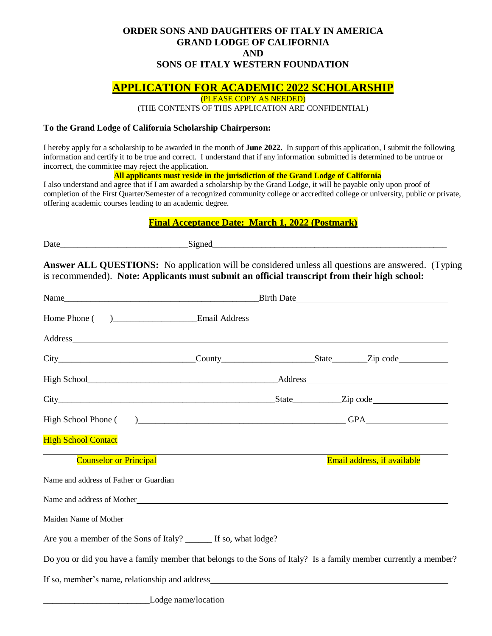## **ORDER SONS AND DAUGHTERS OF ITALY IN AMERICA GRAND LODGE OF CALIFORNIA AND SONS OF ITALY WESTERN FOUNDATION**

# **APPLICATION FOR ACADEMIC 2022 SCHOLARSHIP**

(PLEASE COPY AS NEEDED)

(THE CONTENTS OF THIS APPLICATION ARE CONFIDENTIAL)

#### **To the Grand Lodge of California Scholarship Chairperson:**

I hereby apply for a scholarship to be awarded in the month of **June 2022.** In support of this application, I submit the following information and certify it to be true and correct. I understand that if any information submitted is determined to be untrue or incorrect, the committee may reject the application.

**All applicants must reside in the jurisdiction of the Grand Lodge of California**

I also understand and agree that if I am awarded a scholarship by the Grand Lodge, it will be payable only upon proof of completion of the First Quarter/Semester of a recognized community college or accredited college or university, public or private, offering academic courses leading to an academic degree.

### **Final Acceptance Date: March 1, 2022 (Postmark)**

| ↖         | _______________________ |
|-----------|-------------------------|
| Date      |                         |
| _________ | _______                 |
|           |                         |

**Answer ALL QUESTIONS:** No application will be considered unless all questions are answered. (Typing is recommended). **Note: Applicants must submit an official transcript from their high school:**

|                                                                                                                                                                                                                                |  | Birth Date                                                                                                       |
|--------------------------------------------------------------------------------------------------------------------------------------------------------------------------------------------------------------------------------|--|------------------------------------------------------------------------------------------------------------------|
|                                                                                                                                                                                                                                |  |                                                                                                                  |
|                                                                                                                                                                                                                                |  |                                                                                                                  |
|                                                                                                                                                                                                                                |  |                                                                                                                  |
|                                                                                                                                                                                                                                |  |                                                                                                                  |
|                                                                                                                                                                                                                                |  |                                                                                                                  |
|                                                                                                                                                                                                                                |  |                                                                                                                  |
| <b>High School Contact</b>                                                                                                                                                                                                     |  |                                                                                                                  |
| <b>Counselor or Principal</b>                                                                                                                                                                                                  |  | Email address, if available                                                                                      |
| Name and address of Father or Guardian expansion of the state of the state of the state of the state of the state of the state of the state of the state of the state of the state of the state of the state of the state of t |  |                                                                                                                  |
|                                                                                                                                                                                                                                |  |                                                                                                                  |
|                                                                                                                                                                                                                                |  |                                                                                                                  |
|                                                                                                                                                                                                                                |  |                                                                                                                  |
|                                                                                                                                                                                                                                |  | Do you or did you have a family member that belongs to the Sons of Italy? Is a family member currently a member? |
|                                                                                                                                                                                                                                |  |                                                                                                                  |
|                                                                                                                                                                                                                                |  |                                                                                                                  |